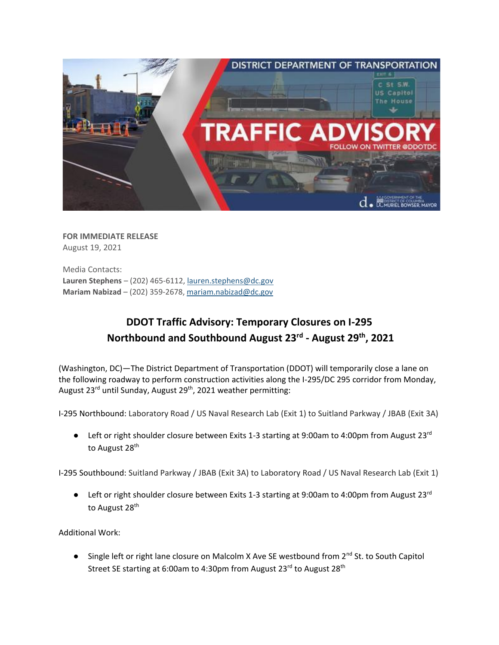

**FOR IMMEDIATE RELEASE** August 19, 2021

Media Contacts: **Lauren Stephens** – (202) 465-6112[, lauren.stephens@dc.gov](mailto:lauren.stephens@dc.gov) **Mariam Nabizad** – (202) 359-2678, [mariam.nabizad@dc.gov](mailto:mariam.nabizad@dc.gov)

## **DDOT Traffic Advisory: Temporary Closures on I-295 Northbound and Southbound August 23rd - August 29 th , 2021**

(Washington, DC)—The District Department of Transportation (DDOT) will temporarily close a lane on the following roadway to perform construction activities along the I-295/DC 295 corridor from Monday, August 23<sup>rd</sup> until Sunday, August 29<sup>th</sup>, 2021 weather permitting:

I-295 Northbound: Laboratory Road / US Naval Research Lab (Exit 1) to Suitland Parkway / JBAB (Exit 3A)

 $\bullet$  Left or right shoulder closure between Exits 1-3 starting at 9:00am to 4:00pm from August 23<sup>rd</sup> to August 28<sup>th</sup>

I-295 Southbound: Suitland Parkway / JBAB (Exit 3A) to Laboratory Road / US Naval Research Lab (Exit 1)

**•** Left or right shoulder closure between Exits 1-3 starting at 9:00am to 4:00pm from August 23<sup>rd</sup> to August 28<sup>th</sup>

Additional Work:

● Single left or right lane closure on Malcolm X Ave SE westbound from 2<sup>nd</sup> St. to South Capitol Street SE starting at 6:00am to 4:30pm from August 23<sup>rd</sup> to August 28<sup>th</sup>